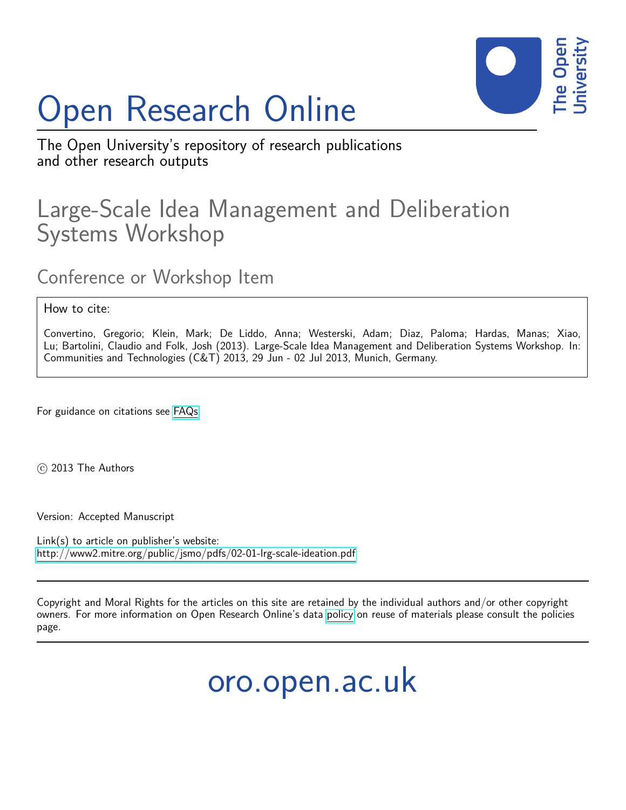# Open Research Online



The Open University's repository of research publications and other research outputs

## Large-Scale Idea Management and Deliberation Systems Workshop

Conference or Workshop Item

#### How to cite:

Convertino, Gregorio; Klein, Mark; De Liddo, Anna; Westerski, Adam; Diaz, Paloma; Hardas, Manas; Xiao, Lu; Bartolini, Claudio and Folk, Josh (2013). Large-Scale Idea Management and Deliberation Systems Workshop. In: Communities and Technologies (C&T) 2013, 29 Jun - 02 Jul 2013, Munich, Germany.

For guidance on citations see [FAQs.](http://oro.open.ac.uk/help/helpfaq.html)

c 2013 The Authors

Version: Accepted Manuscript

Link(s) to article on publisher's website: <http://www2.mitre.org/public/jsmo/pdfs/02-01-lrg-scale-ideation.pdf>

Copyright and Moral Rights for the articles on this site are retained by the individual authors and/or other copyright owners. For more information on Open Research Online's data [policy](http://oro.open.ac.uk/policies.html) on reuse of materials please consult the policies page.

oro.open.ac.uk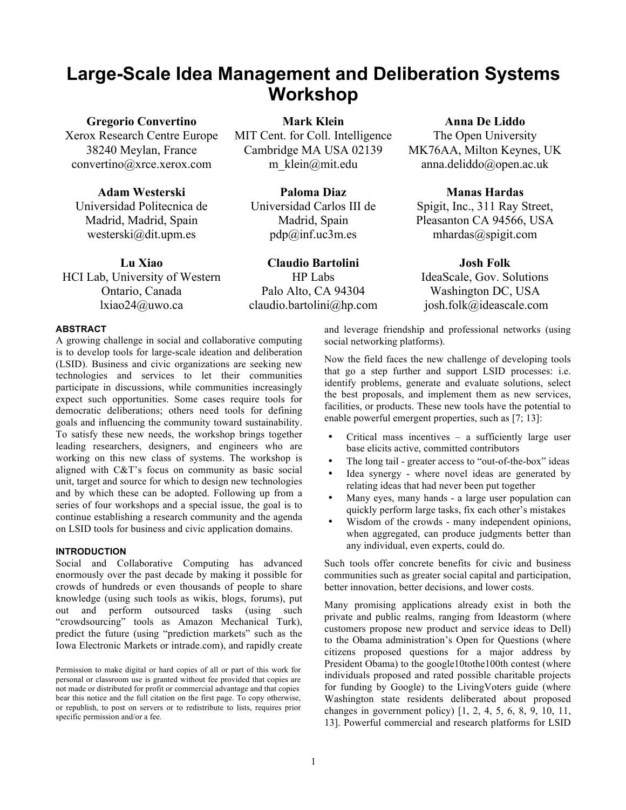### **Large-Scale Idea Management and Deliberation Systems Workshop**

#### **Gregorio Convertino**

Xerox Research Centre Europe 38240 Meylan, France convertino@xrce.xerox.com

#### **Adam Westerski**

Universidad Politecnica de Madrid, Madrid, Spain westerski@dit.upm.es

**Lu Xiao**

HCI Lab, University of Western Ontario, Canada lxiao24@uwo.ca

#### **ABSTRACT**

A growing challenge in social and collaborative computing is to develop tools for large-scale ideation and deliberation (LSID). Business and civic organizations are seeking new technologies and services to let their communities participate in discussions, while communities increasingly expect such opportunities. Some cases require tools for democratic deliberations; others need tools for defining goals and influencing the community toward sustainability. To satisfy these new needs, the workshop brings together leading researchers, designers, and engineers who are working on this new class of systems. The workshop is aligned with C&T's focus on community as basic social unit, target and source for which to design new technologies and by which these can be adopted. Following up from a series of four workshops and a special issue, the goal is to continue establishing a research community and the agenda on LSID tools for business and civic application domains.

#### **INTRODUCTION**

Social and Collaborative Computing has advanced enormously over the past decade by making it possible for crowds of hundreds or even thousands of people to share knowledge (using such tools as wikis, blogs, forums), put out and perform outsourced tasks (using such "crowdsourcing" tools as Amazon Mechanical Turk), predict the future (using "prediction markets" such as the Iowa Electronic Markets or intrade.com), and rapidly create

**Mark Klein**

MIT Cent. for Coll. Intelligence Cambridge MA USA 02139 m\_klein@mit.edu

> **Paloma Diaz** Universidad Carlos III de Madrid, Spain pdp@inf.uc3m.es

**Claudio Bartolini** HP Labs Palo Alto, CA 94304 claudio.bartolini@hp.com

#### **Anna De Liddo**

The Open University MK76AA, Milton Keynes, UK anna.deliddo@open.ac.uk

#### **Manas Hardas**

Spigit, Inc., 311 Ray Street, Pleasanton CA 94566, USA mhardas@spigit.com

#### **Josh Folk**

IdeaScale, Gov. Solutions Washington DC, USA josh.folk@ideascale.com

and leverage friendship and professional networks (using social networking platforms).

Now the field faces the new challenge of developing tools that go a step further and support LSID processes: i.e. identify problems, generate and evaluate solutions, select the best proposals, and implement them as new services, facilities, or products. These new tools have the potential to enable powerful emergent properties, such as [7; 13]:

- Critical mass incentives a sufficiently large user base elicits active, committed contributors
- The long tail greater access to "out-of-the-box" ideas
- Idea synergy where novel ideas are generated by relating ideas that had never been put together
- Many eyes, many hands a large user population can quickly perform large tasks, fix each other's mistakes
- Wisdom of the crowds many independent opinions, when aggregated, can produce judgments better than any individual, even experts, could do.

Such tools offer concrete benefits for civic and business communities such as greater social capital and participation, better innovation, better decisions, and lower costs.

Many promising applications already exist in both the private and public realms, ranging from Ideastorm (where customers propose new product and service ideas to Dell) to the Obama administration's Open for Questions (where citizens proposed questions for a major address by President Obama) to the google10tothe100th contest (where individuals proposed and rated possible charitable projects for funding by Google) to the LivingVoters guide (where Washington state residents deliberated about proposed changes in government policy) [1, 2, 4, 5, 6, 8, 9, 10, 11, 13]. Powerful commercial and research platforms for LSID

Permission to make digital or hard copies of all or part of this work for personal or classroom use is granted without fee provided that copies are not made or distributed for profit or commercial advantage and that copies bear this notice and the full citation on the first page. To copy otherwise, or republish, to post on servers or to redistribute to lists, requires prior specific permission and/or a fee.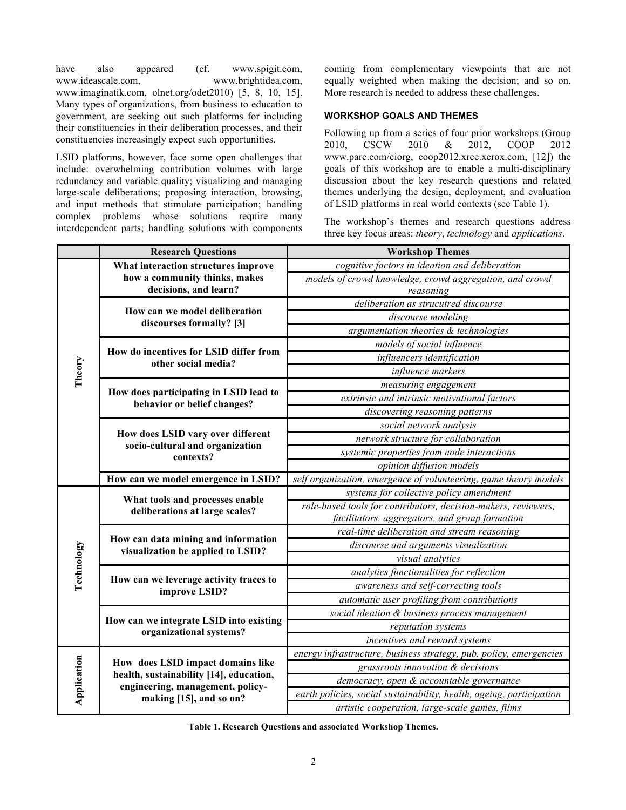have also appeared (cf. www.spigit.com, www.ideascale.com, www.brightidea.com, www.imaginatik.com, olnet.org/odet2010) [5, 8, 10, 15]. Many types of organizations, from business to education to government, are seeking out such platforms for including their constituencies in their deliberation processes, and their constituencies increasingly expect such opportunities.

LSID platforms, however, face some open challenges that include: overwhelming contribution volumes with large redundancy and variable quality; visualizing and managing large-scale deliberations; proposing interaction, browsing, and input methods that stimulate participation; handling complex problems whose solutions require many interdependent parts; handling solutions with components coming from complementary viewpoints that are not equally weighted when making the decision; and so on. More research is needed to address these challenges.

#### **WORKSHOP GOALS AND THEMES**

Following up from a series of four prior workshops (Group 2010, CSCW 2010 & 2012, COOP 2012 www.parc.com/ciorg, coop2012.xrce.xerox.com, [12]) the goals of this workshop are to enable a multi-disciplinary discussion about the key research questions and related themes underlying the design, deployment, and evaluation of LSID platforms in real world contexts (see Table 1).

The workshop's themes and research questions address three key focus areas: *theory*, *technology* and *applications*.

|             | <b>Research Questions</b>                                                                                                                   | <b>Workshop Themes</b>                                               |
|-------------|---------------------------------------------------------------------------------------------------------------------------------------------|----------------------------------------------------------------------|
| Theory      | What interaction structures improve                                                                                                         | cognitive factors in ideation and deliberation                       |
|             | how a community thinks, makes<br>decisions, and learn?                                                                                      | models of crowd knowledge, crowd aggregation, and crowd              |
|             |                                                                                                                                             | reasoning                                                            |
|             | How can we model deliberation<br>discourses formally? [3]                                                                                   | deliberation as strucutred discourse                                 |
|             |                                                                                                                                             | discourse modeling                                                   |
|             |                                                                                                                                             | argumentation theories & technologies                                |
|             | How do incentives for LSID differ from<br>other social media?                                                                               | models of social influence                                           |
|             |                                                                                                                                             | influencers identification                                           |
|             |                                                                                                                                             | influence markers                                                    |
|             | How does participating in LSID lead to<br>behavior or belief changes?                                                                       | measuring engagement                                                 |
|             |                                                                                                                                             | extrinsic and intrinsic motivational factors                         |
|             |                                                                                                                                             | discovering reasoning patterns                                       |
|             | How does LSID vary over different<br>socio-cultural and organization<br>contexts?                                                           | social network analysis                                              |
|             |                                                                                                                                             | network structure for collaboration                                  |
|             |                                                                                                                                             | systemic properties from node interactions                           |
|             |                                                                                                                                             | opinion diffusion models                                             |
|             | How can we model emergence in LSID?                                                                                                         | self organization, emergence of volunteering, game theory models     |
| Technology  | What tools and processes enable<br>deliberations at large scales?                                                                           | systems for collective policy amendment                              |
|             |                                                                                                                                             | role-based tools for contributors, decision-makers, reviewers,       |
|             |                                                                                                                                             | facilitators, aggregators, and group formation                       |
|             | How can data mining and information<br>visualization be applied to LSID?                                                                    | real-time deliberation and stream reasoning                          |
|             |                                                                                                                                             | discourse and arguments visualization                                |
|             |                                                                                                                                             | visual analytics                                                     |
|             | How can we leverage activity traces to<br>improve LSID?                                                                                     | analytics functionalities for reflection                             |
|             |                                                                                                                                             | awareness and self-correcting tools                                  |
|             |                                                                                                                                             | automatic user profiling from contributions                          |
|             | How can we integrate LSID into existing<br>organizational systems?                                                                          | social ideation & business process management                        |
|             |                                                                                                                                             | reputation systems                                                   |
|             |                                                                                                                                             | incentives and reward systems                                        |
| Application | How does LSID impact domains like<br>health, sustainability [14], education,<br>engineering, management, policy-<br>making [15], and so on? | energy infrastructure, business strategy, pub. policy, emergencies   |
|             |                                                                                                                                             | grassroots innovation & decisions                                    |
|             |                                                                                                                                             | democracy, open & accountable governance                             |
|             |                                                                                                                                             | earth policies, social sustainability, health, ageing, participation |
|             |                                                                                                                                             | artistic cooperation, large-scale games, films                       |

**Table 1. Research Questions and associated Workshop Themes.**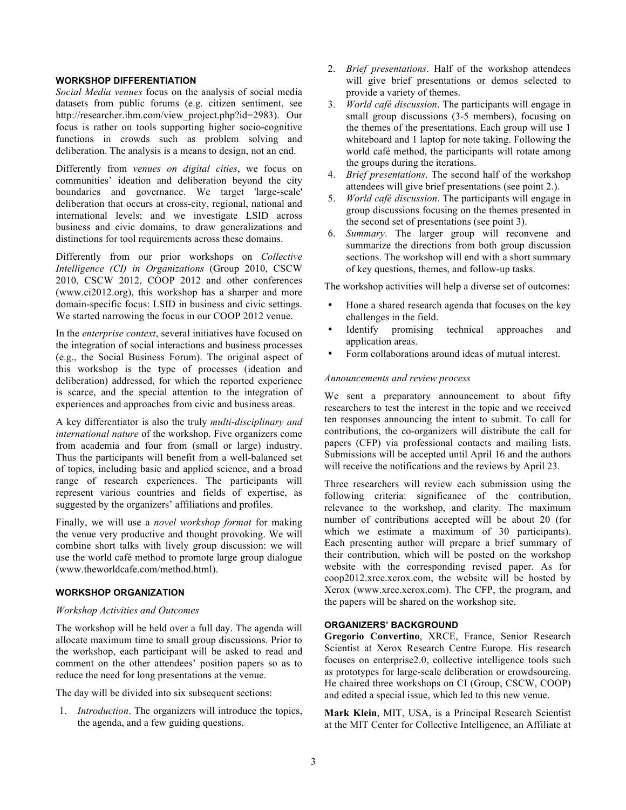#### **WORKSHOP DIFFERENTIATION**

*Social Media venues* focus on the analysis of social media datasets from public forums (e.g. citizen sentiment, see http://researcher.ibm.com/view\_project.php?id=2983). Our focus is rather on tools supporting higher socio-cognitive functions in crowds such as problem solving and deliberation. The analysis is a means to design, not an end.

Differently from *venues on digital cities*, we focus on communities' ideation and deliberation beyond the city boundaries and governance. We target 'large-scale' deliberation that occurs at cross-city, regional, national and international levels; and we investigate LSID across business and civic domains, to draw generalizations and distinctions for tool requirements across these domains.

Differently from our prior workshops on *Collective Intelligence (CI) in Organizations* (Group 2010, CSCW 2010, CSCW 2012, COOP 2012 and other conferences (www.ci2012.org), this workshop has a sharper and more domain-specific focus: LSID in business and civic settings. We started narrowing the focus in our COOP 2012 venue.

In the *enterprise context*, several initiatives have focused on the integration of social interactions and business processes (e.g., the Social Business Forum). The original aspect of this workshop is the type of processes (ideation and deliberation) addressed, for which the reported experience is scarce, and the special attention to the integration of experiences and approaches from civic and business areas.

A key differentiator is also the truly *multi-disciplinary and international nature* of the workshop. Five organizers come from academia and four from (small or large) industry. Thus the participants will benefit from a well-balanced set of topics, including basic and applied science, and a broad range of research experiences. The participants will represent various countries and fields of expertise, as suggested by the organizers' affiliations and profiles.

Finally, we will use a *novel workshop format* for making the venue very productive and thought provoking. We will combine short talks with lively group discussion: we will use the world café method to promote large group dialogue (www.theworldcafe.com/method.html).

#### **WORKSHOP ORGANIZATION**

#### *Workshop Activities and Outcomes*

The workshop will be held over a full day. The agenda will allocate maximum time to small group discussions. Prior to the workshop, each participant will be asked to read and comment on the other attendees' position papers so as to reduce the need for long presentations at the venue.

The day will be divided into six subsequent sections:

1. *Introduction*. The organizers will introduce the topics, the agenda, and a few guiding questions.

- 2. *Brief presentations*. Half of the workshop attendees will give brief presentations or demos selected to provide a variety of themes.
- 3. *World café discussion*. The participants will engage in small group discussions (3-5 members), focusing on the themes of the presentations. Each group will use 1 whiteboard and 1 laptop for note taking. Following the world café method, the participants will rotate among the groups during the iterations.
- 4. *Brief presentations*. The second half of the workshop attendees will give brief presentations (see point 2.).
- 5. *World café discussion*. The participants will engage in group discussions focusing on the themes presented in the second set of presentations (see point 3).
- 6. *Summary*. The larger group will reconvene and summarize the directions from both group discussion sections. The workshop will end with a short summary of key questions, themes, and follow-up tasks.

The workshop activities will help a diverse set of outcomes:

- Hone a shared research agenda that focuses on the key challenges in the field.
- Identify promising technical approaches and application areas.
- Form collaborations around ideas of mutual interest.

#### *Announcements and review process*

We sent a preparatory announcement to about fifty researchers to test the interest in the topic and we received ten responses announcing the intent to submit. To call for contributions, the co-organizers will distribute the call for papers (CFP) via professional contacts and mailing lists. Submissions will be accepted until April 16 and the authors will receive the notifications and the reviews by April 23.

Three researchers will review each submission using the following criteria: significance of the contribution, relevance to the workshop, and clarity. The maximum number of contributions accepted will be about 20 (for which we estimate a maximum of 30 participants). Each presenting author will prepare a brief summary of their contribution, which will be posted on the workshop website with the corresponding revised paper. As for coop2012.xrce.xerox.com, the website will be hosted by Xerox (www.xrce.xerox.com). The CFP, the program, and the papers will be shared on the workshop site.

#### **ORGANIZERS' BACKGROUND**

**Gregorio Convertino**, XRCE, France, Senior Research Scientist at Xerox Research Centre Europe. His research focuses on enterprise2.0, collective intelligence tools such as prototypes for large-scale deliberation or crowdsourcing. He chaired three workshops on CI (Group, CSCW, COOP) and edited a special issue, which led to this new venue.

**Mark Klein**, MIT, USA, is a Principal Research Scientist at the MIT Center for Collective Intelligence, an Affiliate at